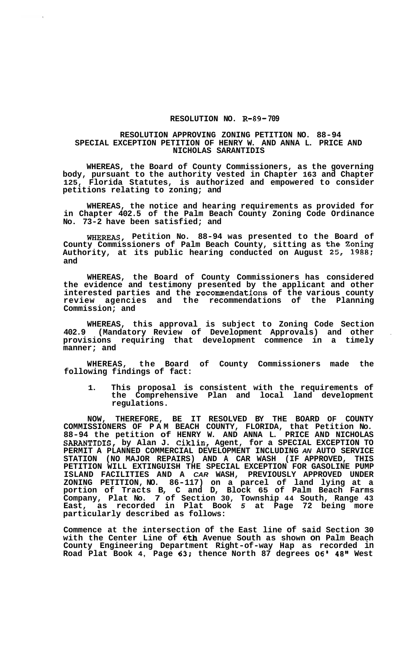## **RESOLUTION NO. R-89- 709**

## **RESOLUTION APPROVING ZONING PETITION NO. 88-94 SPECIAL EXCEPTION PETITION OF HENRY W. AND ANNA L. PRICE AND NICHOLAS SARANTIDIS**

**WHEREAS, the Board of County Commissioners, as the governing body, pursuant to the authority vested in Chapter 163 and Chapter 125, Florida Statutes, is authorized and empowered to consider petitions relating to zoning; and** 

**WHEREAS, the notice and hearing requirements as provided for in Chapter 402.5 of the Palm Beach County Zoning Code Ordinance No. 73-2 have been satisfied; and** 

**WHEREAS, Petition No. 88-94 was presented to the Board of County Commissioners of Palm Beach County, sitting as the Zoning Authority, at its public hearing conducted on August 25, 1988; and** 

**WHEREAS, the Board of County Commissioners has considered the evidence and testimony presented by the applicant and other interested parties and the recommendations of the various county review agencies and the recommendations of the Planning Commission; and** 

**WHEREAS, this approval is subject to Zoning Code Section 402.9 (Mandatory Review of Development Approvals) and other** . **provisions requiring that development commence in a timely manner; and** 

of County Commissioners made the **following findings of fact:** 

**1. This proposal is consistent with the requirements of the Comprehensive Plan and local land development regulations.** 

**NOW, THEREFORE, BE IT RESOLVED BY THE BOARD OF COUNTY COMMISSIONERS OF PAM BEACH COUNTY, FLORIDA, that Petition No. 88-94 the petition of HENRY W. AND ANNA L. PRICE AND NICHOLAS SARANTIDIS, by Alan J. Ciklin,, Agent, for a SPECIAL EXCEPTION TO PERMIT A PLANNED COMMERCIAL DEVELOPMENT INCLUDING** *AN* **AUTO SERVICE STATION (NO MAJOR REPAIRS) AND A CAR WASH (IF APPROVED, THIS PETITION WILL EXTINGUISH THE SPECIAL EXCEPTION FOR GASOLINE PUMP ISLAND FACILITIES AND A** *CAR* **WASH, PREVIOUSLY APPROVED UNDER ZONING PETITION, NO. 86-117) on a parcel of land lying at a portion of Tracts B, C and D, Block 65 of Palm Beach Farms Company, Plat No. 7 of Section 30, Township 44 South, Range 43 East, as recorded in Plat Book** *5* **at Page 72 being more particularly described as follows:** 

**Commence at the intersection of the East line of said Section 30 with the Center Line of 6th Avenue South as shown on Palm Beach County Engineering Department Right-of-way Hap as recorded in Road Plat Book 4, Page 63; thence North 87 degrees** *06'* **48" West**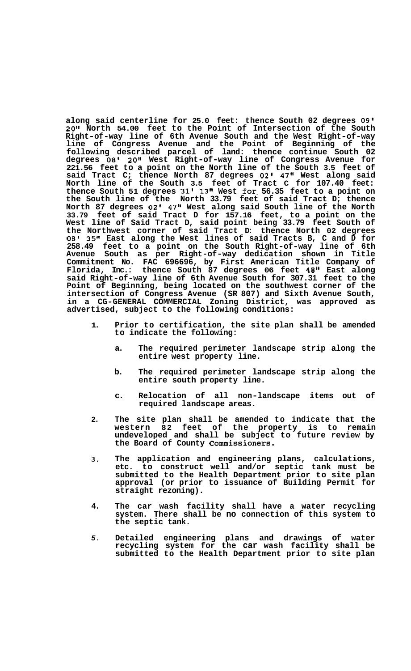**along said centerline for 25.0 feet: thence South 02 degrees 09' 20'' North 54.00 feet to the Point of Intersection of the South Right-of-way line of 6th Avenue South and the West Right-of-way line of Congress Avenue and the Point of Beginning of the following described parcel of land: thence continue South 02 degrees 08' 20" West Right-of-way line of Congress Avenue for 221.56 feet to a point on the North line of the South 3.5 feet of said Tract C; thence North 87 degrees 02' 47" West along said North line of the South 3.5 feet of Tract C for 107.40 feet: thence South 51 degrees 31' 13" West for- 56.35 feet to a point on the South line of the North 33.79 feet of said Tract D; thence North 87 degrees 02' 47" West along said South line of the North 33.79 feet of said Tract D for 157.16 feet, to a point on the West line of Said Tract D, said point being 33.79 feet South of the Northwest corner of said Tract D: thence North 02 degrees 08' 35" East along the West lines of said Tracts B, C and D for 258.49 feet to a point on the South Right-of-way line of 6th Avenue South as per Right-of-way dedication shown in Title Commitment No. FAC 696696, by First American Title Company of Florida, Inc.: thence South 87 degrees 06 feet 48" East along said Right-of-way line of 6th Avenue South for 307.31 feet to the Point of Beginning, being located on the southwest corner of the intersection of Congress Avenue (SR 807) and Sixth Avenue South, in a CG-GENERAL COMMERCIAL Zoning District, was approved as advertised, subject to the following conditions:** 

- **1. Prior to certification, the site plan shall be amended to indicate the following:** 
	- **a. The required perimeter landscape strip along the entire west property line.**
	- **b. The required perimeter landscape strip along the entire south property line.**
	- **c. Relocation of all non-landscape items out of required landscape areas.**
- **2. The site plan shall be amended to indicate that the western 82 feet of the property is to remain undeveloped and shall be subject to future review by the Board of County Commissioners.**
- **3. The application and engineering plans, calculations, etc. to construct well and/or septic tank must be submitted to the Health Department prior to site plan approval (or prior to issuance of Building Permit for straight rezoning).**
- **4. The car wash facility shall have a water recycling system. There shall be no connection of this system to the septic tank.**
- *5.*  **Detailed engineering plans and drawings of water recycling system for the car wash facility shall be submitted to the Health Department prior to site plan**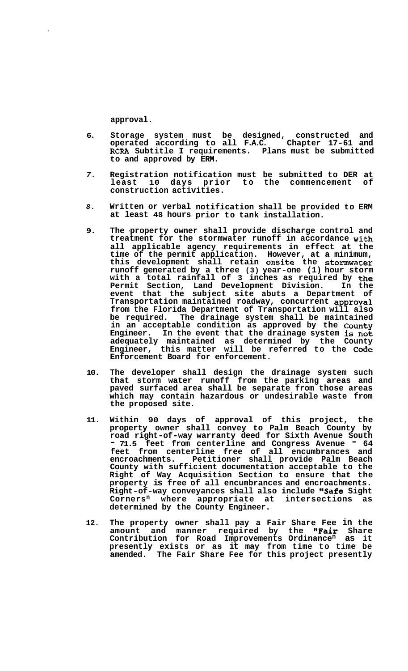**approval.** 

- **Storage system must be designed, constructed and operated according to all F.A.C. Chapter 17-61 and RCRA Subtitle I requirements. Plans must be submitted to and approved by ERM. 6.**
- **Registration notification must be submitted to DER at least 10 days prior to the commencement of construction activities.**  *7.*
- *8.*  **Written or verbal notification shall be provided to ERM at least 48 hours prior to tank installation.**
- **9. The -property owner shall provide discharge control and treatment for the stormwater runoff in accordance with all applicable agency requirements in effect at the time of the permit application. However, at a minimum, this development shall retain onsite the stormwater runoff generated by a three (3) year-one (1) hour storm with a total rainfall of 3 inches as required by the Permit Section, Land Development Division. In the event that the subject site abuts a Department of Transportation maintained roadway, concurrent approval from the Florida Department of Transportation will also be required. The drainage system shall be maintained in an acceptable condition as approved by the County Engineer. In the event that the drainage system is not adequately maintained as determined by the County Engineer, this matter will be referred to the Code Enforcement Board for enforcement.**
- **10. The developer shall design the drainage system such that storm water runoff from the parking areas and paved surfaced area shall be separate from those areas which may contain hazardous or undesirable waste from the proposed site.**
- **11. Within 90 days of approval of this project, the property owner shall convey to Palm Beach County by road right-of-way warranty deed for Sixth Avenue South**  - **71.5 feet from centerline and Congress Avenue** - **<sup>64</sup> feet from centerline free of all encumbrances and encroachments. Petitioner shall provide Palm Beach County with sufficient documentation acceptable to the Right of Way Acquisition Section to ensure that the property is free of all encumbrances and encroachments. Right-of-way conveyances shall also include "Safe Sight Cornersn where appropriate at intersections as determined by the County Engineer.**
- **12. The property owner shall pay a Fair Share Fee in the amount and manner required by the "Fair Share Contribution for Road Improvements Ordinancen as it presently exists or as it may from time to time be amended. The Fair Share Fee for this project presently**